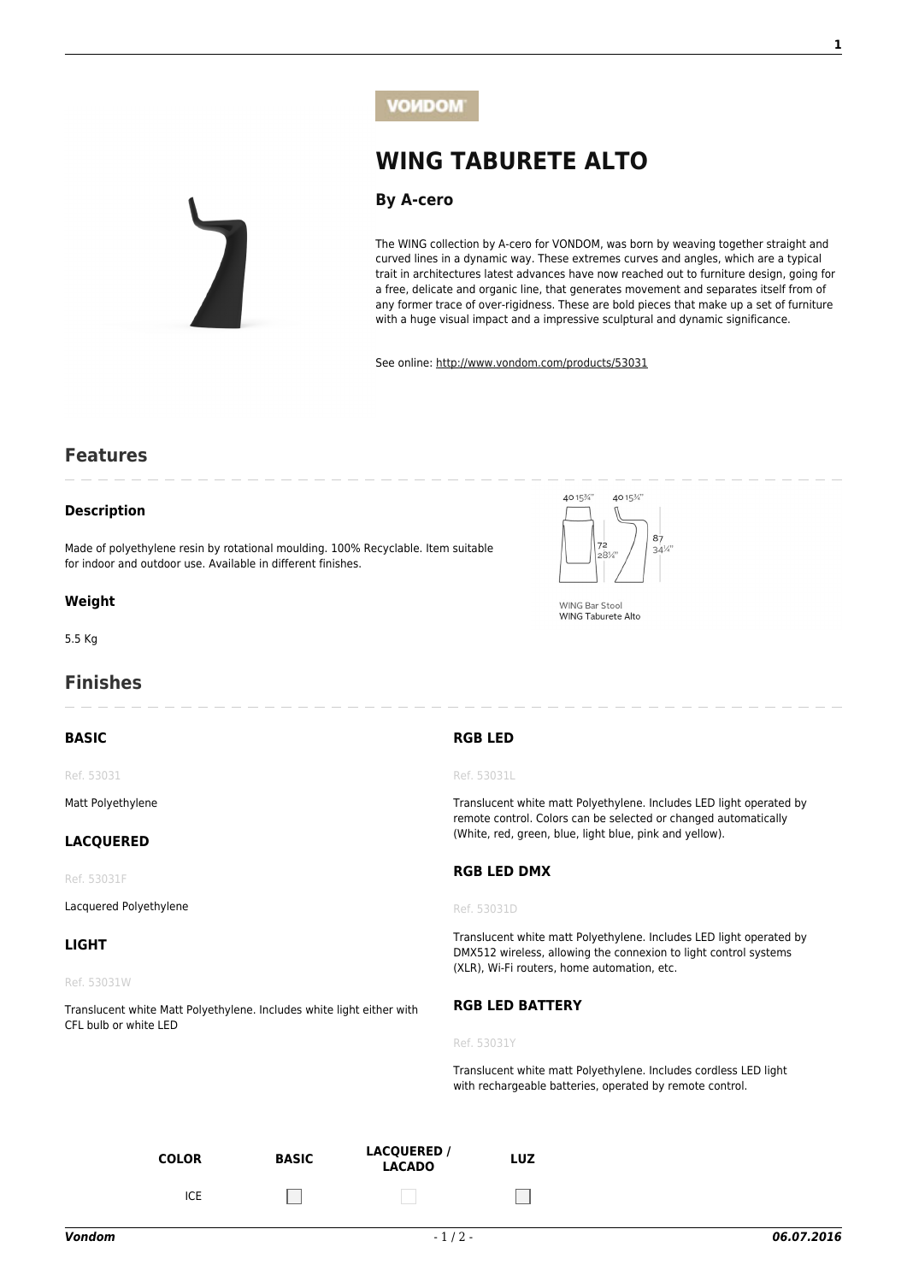

# **[WING TABURETE ALTO](http://www.vondom.com/products/?product=53031)**

## **[By A-cero](http://www.vondom.com/designers/a-cero/)**

The WING collection by A-cero for VONDOM, was born by weaving together straight and curved lines in a dynamic way. These extremes curves and angles, which are a typical trait in architectures latest advances have now reached out to furniture design, going for a free, delicate and organic line, that generates movement and separates itself from of any former trace of over-rigidness. These are bold pieces that make up a set of furniture with a huge visual impact and a impressive sculptural and dynamic significance.

See online: [http://www.vondom.com/products/53031](http://www.vondom.com/products/?product=53031)

# **Features**

## **Description**

Made of polyethylene resin by rotational moulding. 100% Recyclable. Item suitable for indoor and outdoor use. Available in different finishes.

#### **Weight**

5.5 Kg

# **Finishes**

#### **BASIC**

Ref. 53031

Matt Polyethylene

### **LACQUERED**

Ref. 53031F

Lacquered Polyethylene

#### **LIGHT**

Ref. 53031W

Translucent white Matt Polyethylene. Includes white light either with CFL bulb or white LED

 $ICE$ 



**WING Bar Stool** WING Taburete Alto

#### **RGB LED**

Ref. 53031L

Translucent white matt Polyethylene. Includes LED light operated by remote control. Colors can be selected or changed automatically (White, red, green, blue, light blue, pink and yellow).

#### **RGB LED DMX**

Ref. 53031D

Translucent white matt Polyethylene. Includes LED light operated by DMX512 wireless, allowing the connexion to light control systems (XLR), Wi-Fi routers, home automation, etc.

#### **RGB LED BATTERY**

Ref. 53031Y

Translucent white matt Polyethylene. Includes cordless LED light with rechargeable batteries, operated by remote control.

**COLOR BASIC LACQUERED /**